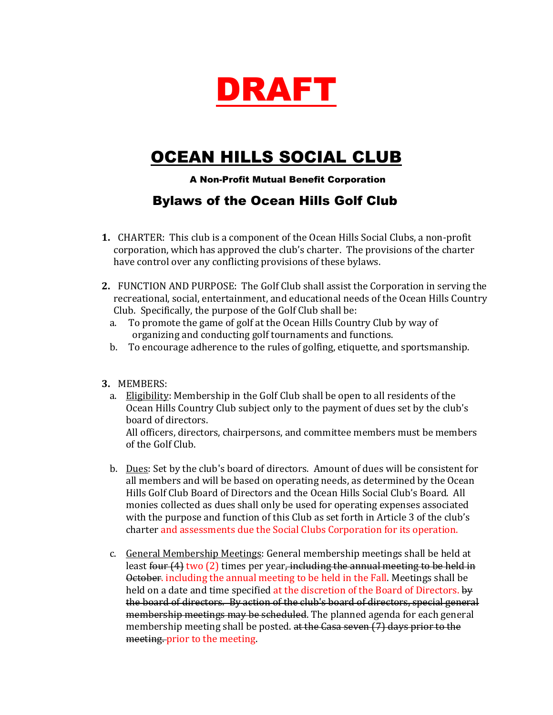

## OCEAN HILLS SOCIAL CLUB

A Non-Profit Mutual Benefit Corporation

## Bylaws of the Ocean Hills Golf Club

- **1.** CHARTER: This club is a component of the Ocean Hills Social Clubs, a non-profit corporation, which has approved the club's charter. The provisions of the charter have control over any conflicting provisions of these bylaws.
- **2.** FUNCTION AND PURPOSE: The Golf Club shall assist the Corporation in serving the recreational, social, entertainment, and educational needs of the Ocean Hills Country Club. Specifically, the purpose of the Golf Club shall be:
	- a. To promote the game of golf at the Ocean Hills Country Club by way of organizing and conducting golf tournaments and functions.
	- b. To encourage adherence to the rules of golfing, etiquette, and sportsmanship.
- **3.** MEMBERS:
	- a. Eligibility: Membership in the Golf Club shall be open to all residents of the Ocean Hills Country Club subject only to the payment of dues set by the club's board of directors. All officers, directors, chairpersons, and committee members must be members of the Golf Club.
	- b. Dues: Set by the club's board of directors. Amount of dues will be consistent for all members and will be based on operating needs, as determined by the Ocean Hills Golf Club Board of Directors and the Ocean Hills Social Club's Board. All monies collected as dues shall only be used for operating expenses associated with the purpose and function of this Club as set forth in Article 3 of the club's charter and assessments due the Social Clubs Corporation for its operation.
	- c. General Membership Meetings: General membership meetings shall be held at least four (4) two (2) times per year, including the annual meeting to be held in October. including the annual meeting to be held in the Fall. Meetings shall be held on a date and time specified at the discretion of the Board of Directors. by the board of directors. By action of the club's board of directors, special general membership meetings may be scheduled. The planned agenda for each general membership meeting shall be posted. at the Casa seven (7) days prior to the meeting. prior to the meeting.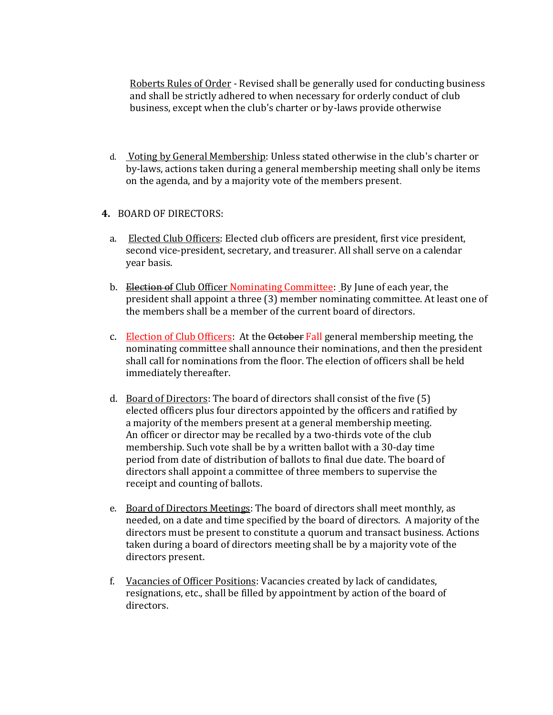Roberts Rules of Order - Revised shall be generally used for conducting business and shall be strictly adhered to when necessary for orderly conduct of club business, except when the club's charter or by-laws provide otherwise

d. Voting by General Membership: Unless stated otherwise in the club's charter or by-laws, actions taken during a general membership meeting shall only be items on the agenda, and by a majority vote of the members present.

## **4.** BOARD OF DIRECTORS:

- a. Elected Club Officers: Elected club officers are president, first vice president, second vice-president, secretary, and treasurer. All shall serve on a calendar year basis.
- b. Election of Club Officer Nominating Committee: By June of each year, the president shall appoint a three (3) member nominating committee. At least one of the members shall be a member of the current board of directors.
- c. Election of Club Officers: At the October Fall general membership meeting, the nominating committee shall announce their nominations, and then the president shall call for nominations from the floor. The election of officers shall be held immediately thereafter.
- d. Board of Directors: The board of directors shall consist of the five (5) elected officers plus four directors appointed by the officers and ratified by a majority of the members present at a general membership meeting. An officer or director may be recalled by a two-thirds vote of the club membership. Such vote shall be by a written ballot with a 30-day time period from date of distribution of ballots to final due date. The board of directors shall appoint a committee of three members to supervise the receipt and counting of ballots.
- e. Board of Directors Meetings: The board of directors shall meet monthly, as needed, on a date and time specified by the board of directors. A majority of the directors must be present to constitute a quorum and transact business. Actions taken during a board of directors meeting shall be by a majority vote of the directors present.
- f. Vacancies of Officer Positions: Vacancies created by lack of candidates, resignations, etc., shall be filled by appointment by action of the board of directors.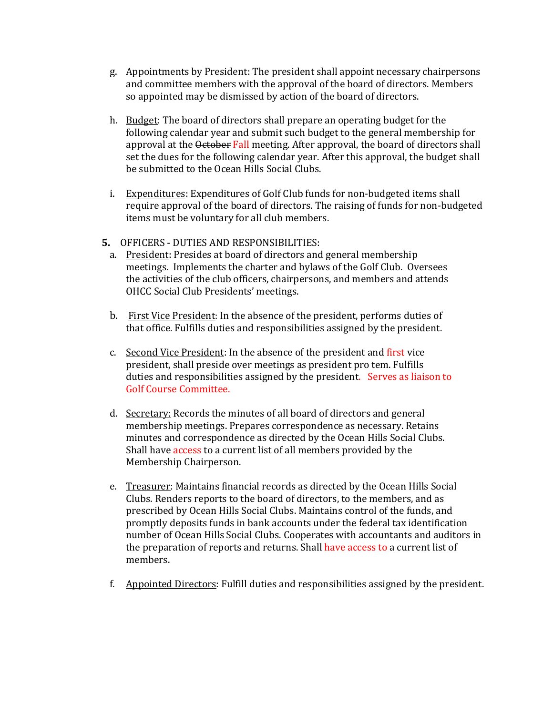- g. Appointments by President: The president shall appoint necessary chairpersons and committee members with the approval of the board of directors. Members so appointed may be dismissed by action of the board of directors.
- h. Budget: The board of directors shall prepare an operating budget for the following calendar year and submit such budget to the general membership for approval at the October Fall meeting. After approval, the board of directors shall set the dues for the following calendar year. After this approval, the budget shall be submitted to the Ocean Hills Social Clubs.
- i. Expenditures: Expenditures of Golf Club funds for non-budgeted items shall require approval of the board of directors. The raising of funds for non-budgeted items must be voluntary for all club members.
- **5.** OFFICERS DUTIES AND RESPONSIBILITIES:
	- a. President: Presides at board of directors and general membership meetings. Implements the charter and bylaws of the Golf Club. Oversees the activities of the club officers, chairpersons, and members and attends OHCC Social Club Presidents' meetings.
	- b. First Vice President: In the absence of the president, performs duties of that office. Fulfills duties and responsibilities assigned by the president.
	- c. Second Vice President: In the absence of the president and first vice president, shall preside over meetings as president pro tem. Fulfills duties and responsibilities assigned by the president. Serves as liaison to Golf Course Committee.
	- d. Secretary: Records the minutes of all board of directors and general membership meetings. Prepares correspondence as necessary. Retains minutes and correspondence as directed by the Ocean Hills Social Clubs. Shall have access to a current list of all members provided by the Membership Chairperson.
	- e. Treasurer: Maintains financial records as directed by the Ocean Hills Social Clubs. Renders reports to the board of directors, to the members, and as prescribed by Ocean Hills Social Clubs. Maintains control of the funds, and promptly deposits funds in bank accounts under the federal tax identification number of Ocean Hills Social Clubs. Cooperates with accountants and auditors in the preparation of reports and returns. Shall have access to a current list of members.
	- f. Appointed Directors: Fulfill duties and responsibilities assigned by the president.